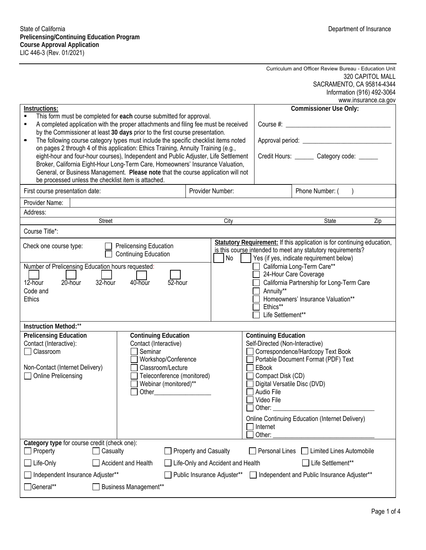#### Curriculum and Officer Review Bureau - Education Unit 320 CAPITOL MALL SACRAMENTO, CA 95814-4344 Information (916) 492-3064  $\frac{1}{2}$

|                                                                                                                                                                                                                                                                                                                                                                                                         |                     |                                                                                                                                                                             |                  |                                                                                                                                                                                                                         |                                                                                                                                                                                          |                                                                                                                             | www.insurance.ca.gov |  |
|---------------------------------------------------------------------------------------------------------------------------------------------------------------------------------------------------------------------------------------------------------------------------------------------------------------------------------------------------------------------------------------------------------|---------------------|-----------------------------------------------------------------------------------------------------------------------------------------------------------------------------|------------------|-------------------------------------------------------------------------------------------------------------------------------------------------------------------------------------------------------------------------|------------------------------------------------------------------------------------------------------------------------------------------------------------------------------------------|-----------------------------------------------------------------------------------------------------------------------------|----------------------|--|
| Instructions:                                                                                                                                                                                                                                                                                                                                                                                           |                     |                                                                                                                                                                             |                  |                                                                                                                                                                                                                         |                                                                                                                                                                                          | <b>Commissioner Use Only:</b>                                                                                               |                      |  |
| This form must be completed for each course submitted for approval.<br>A completed application with the proper attachments and filing fee must be received<br>٠                                                                                                                                                                                                                                         |                     |                                                                                                                                                                             |                  |                                                                                                                                                                                                                         |                                                                                                                                                                                          |                                                                                                                             |                      |  |
| by the Commissioner at least 30 days prior to the first course presentation.                                                                                                                                                                                                                                                                                                                            |                     |                                                                                                                                                                             |                  |                                                                                                                                                                                                                         |                                                                                                                                                                                          |                                                                                                                             |                      |  |
| The following course category types must include the specific checklist items noted<br>$\blacksquare$                                                                                                                                                                                                                                                                                                   |                     |                                                                                                                                                                             |                  |                                                                                                                                                                                                                         |                                                                                                                                                                                          |                                                                                                                             |                      |  |
| on pages 2 through 4 of this application: Ethics Training, Annuity Training (e.g.,<br>eight-hour and four-hour courses), Independent and Public Adjuster, Life Settlement<br>Broker, California Eight-Hour Long-Term Care, Homeowners' Insurance Valuation,<br>General, or Business Management. Please note that the course application will not<br>be processed unless the checklist item is attached. |                     |                                                                                                                                                                             |                  |                                                                                                                                                                                                                         |                                                                                                                                                                                          | Credit Hours: _______ Category code: ______                                                                                 |                      |  |
| First course presentation date:                                                                                                                                                                                                                                                                                                                                                                         |                     |                                                                                                                                                                             | Provider Number: |                                                                                                                                                                                                                         |                                                                                                                                                                                          | Phone Number: (                                                                                                             |                      |  |
| Provider Name:                                                                                                                                                                                                                                                                                                                                                                                          |                     |                                                                                                                                                                             |                  |                                                                                                                                                                                                                         |                                                                                                                                                                                          |                                                                                                                             |                      |  |
| Address:                                                                                                                                                                                                                                                                                                                                                                                                |                     |                                                                                                                                                                             |                  |                                                                                                                                                                                                                         |                                                                                                                                                                                          |                                                                                                                             |                      |  |
|                                                                                                                                                                                                                                                                                                                                                                                                         | Street              |                                                                                                                                                                             |                  | City                                                                                                                                                                                                                    |                                                                                                                                                                                          | State                                                                                                                       | Zip                  |  |
| Course Title*:                                                                                                                                                                                                                                                                                                                                                                                          |                     |                                                                                                                                                                             |                  |                                                                                                                                                                                                                         |                                                                                                                                                                                          |                                                                                                                             |                      |  |
| Check one course type:<br>Prelicensing Education<br><b>Continuing Education</b><br>Number of Prelicensing Education hours requested:                                                                                                                                                                                                                                                                    |                     |                                                                                                                                                                             |                  | Statutory Requirement: If this application is for continuing education,<br>is this course intended to meet any statutory requirements?<br>No<br>Yes (if yes, indicate requirement below)<br>California Long-Term Care** |                                                                                                                                                                                          |                                                                                                                             |                      |  |
| $12$ -hour<br>$20$ -hour<br>32-hour<br>40-hour<br>52-hour<br>Code and<br>Ethics                                                                                                                                                                                                                                                                                                                         |                     |                                                                                                                                                                             |                  | 24-Hour Care Coverage<br>California Partnership for Long-Term Care<br>Annuity**<br>Homeowners' Insurance Valuation**                                                                                                    |                                                                                                                                                                                          |                                                                                                                             |                      |  |
|                                                                                                                                                                                                                                                                                                                                                                                                         |                     |                                                                                                                                                                             |                  |                                                                                                                                                                                                                         | Ethics**<br>Life Settlement**                                                                                                                                                            |                                                                                                                             |                      |  |
| <b>Instruction Method:**</b>                                                                                                                                                                                                                                                                                                                                                                            |                     |                                                                                                                                                                             |                  |                                                                                                                                                                                                                         |                                                                                                                                                                                          |                                                                                                                             |                      |  |
| <b>Prelicensing Education</b><br>Contact (Interactive):<br>Classroom<br>Non-Contact (Internet Delivery)<br><b>Online Prelicensing</b>                                                                                                                                                                                                                                                                   |                     | <b>Continuing Education</b><br>Contact (Interactive)<br>Seminar<br>Workshop/Conference<br>Classroom/Lecture<br>Teleconference (monitored)<br>Webinar (monitored)**<br>Other |                  |                                                                                                                                                                                                                         | <b>Continuing Education</b><br>Self-Directed (Non-Interactive)<br>EBook<br>Compact Disk (CD)<br>Digital Versatile Disc (DVD)<br>Audio File<br>Video File<br>Other:<br>Internet<br>Other: | Correspondence/Hardcopy Text Book<br>Portable Document Format (PDF) Text<br>Online Continuing Education (Internet Delivery) |                      |  |
| Category type for course credit (check one):<br>Property<br>Casualty<br>Property and Casualty                                                                                                                                                                                                                                                                                                           |                     |                                                                                                                                                                             |                  |                                                                                                                                                                                                                         | Personal Lines                                                                                                                                                                           | Limited Lines Automobile                                                                                                    |                      |  |
| Life-Only                                                                                                                                                                                                                                                                                                                                                                                               | Accident and Health |                                                                                                                                                                             |                  | Life-Only and Accident and Health                                                                                                                                                                                       |                                                                                                                                                                                          | Life Settlement**                                                                                                           |                      |  |
| Independent Insurance Adjuster**<br>Public Insurance Adjuster**<br>Independent and Public Insurance Adjuster**                                                                                                                                                                                                                                                                                          |                     |                                                                                                                                                                             |                  |                                                                                                                                                                                                                         |                                                                                                                                                                                          |                                                                                                                             |                      |  |
| General**<br><b>Business Management**</b>                                                                                                                                                                                                                                                                                                                                                               |                     |                                                                                                                                                                             |                  |                                                                                                                                                                                                                         |                                                                                                                                                                                          |                                                                                                                             |                      |  |
|                                                                                                                                                                                                                                                                                                                                                                                                         |                     |                                                                                                                                                                             |                  |                                                                                                                                                                                                                         |                                                                                                                                                                                          |                                                                                                                             |                      |  |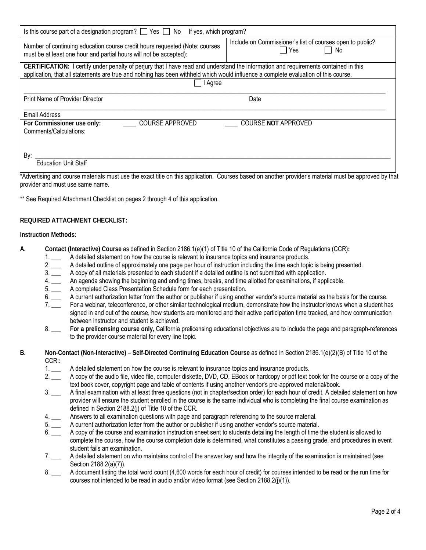| Is this course part of a designation program? $\Box$ Yes $\Box$ No If yes, which program?                                                                                                                                                                                   |                                                                        |  |  |  |  |  |  |
|-----------------------------------------------------------------------------------------------------------------------------------------------------------------------------------------------------------------------------------------------------------------------------|------------------------------------------------------------------------|--|--|--|--|--|--|
| Number of continuing education course credit hours requested (Note: courses<br>must be at least one hour and partial hours will not be accepted):                                                                                                                           | Include on Commissioner's list of courses open to public?<br>Yes<br>No |  |  |  |  |  |  |
| CERTIFICATION: I certify under penalty of perjury that I have read and understand the information and requirements contained in this<br>application, that all statements are true and nothing has been withheld which would influence a complete evaluation of this course. |                                                                        |  |  |  |  |  |  |
| I Agree                                                                                                                                                                                                                                                                     |                                                                        |  |  |  |  |  |  |
| Print Name of Provider Director                                                                                                                                                                                                                                             | Date                                                                   |  |  |  |  |  |  |
| <b>Email Address</b>                                                                                                                                                                                                                                                        |                                                                        |  |  |  |  |  |  |
| <b>COURSE APPROVED</b><br>For Commissioner use only:<br>Comments/Calculations:                                                                                                                                                                                              | <b>COURSE NOT APPROVED</b>                                             |  |  |  |  |  |  |
| By:<br><b>Education Unit Staff</b><br>.<br>$\cdot$ $\cdot$ $\cdot$ $\cdot$<br>$\cdots$<br>$\cdots$<br>$\sim$                                                                                                                                                                | .<br>.<br>.                                                            |  |  |  |  |  |  |

 \*Advertising and course materials must use the exact title on this application. Courses based on another provider's material must be approved by that provider and must use same name.

\*\* See Required Attachment Checklist on pages 2 through 4 of this application.

#### **REQUIRED ATTACHMENT CHECKLIST:**

#### **Instruction Methods:**

- **A. Contact (Interactive) Course** as defined in Section 2186.1(e)(1) of Title 10 of the California Code of Regulations (CCR)**:**
	- 1. \_\_\_ A detailed statement on how the course is relevant to insurance topics and insurance products.
	- 2. \_\_\_ A detailed outline of approximately one page per hour of instruction including the time each topic is being presented.
	- $\begin{array}{c}\n2. \\
	3. \\
	4. \end{array}$ A copy of all materials presented to each student if a detailed outline is not submitted with application.
	- 4. \_\_\_ An agenda showing the beginning and ending times, breaks, and time allotted for examinations, if applicable.
	- 5. \_\_\_ A completed Class Presentation Schedule form for each presentation.
	- 6. \_\_\_ A current authorization letter from the author or publisher if using another vendor's source material as the basis for the course.
	- 7. \_\_\_ For a webinar, teleconference, or other similar technological medium, demonstrate how the instructor knows when a student has signed in and out of the course, how students are monitored and their active participation time tracked, and how communication between instructor and student is achieved.
	- 8. \_\_\_ **For a prelicensing course only,** California prelicensing educational objectives are to include the page and paragraph-references to the provider course material for every line topic.
- **B. Non-Contact (Non-Interactive) Self-Directed Continuing Education Course** as defined in Section 2186.1(e)(2)(B) of Title 10 of the CCR:**:**
	- 1. \_\_\_ A detailed statement on how the course is relevant to insurance topics and insurance products.
	- 2. \_\_\_ A copy of the audio file, video file, computer diskette, DVD, CD, EBook or hardcopy or pdf text book for the course or a copy of the text book cover, copyright page and table of contents if using another vendor's pre-approved material/book.
	- 3. \_\_\_ A final examination with at least three questions (not in chapter/section order) for each hour of credit. A detailed statement on how provider will ensure the student enrolled in the course is the same individual who is completing the final course examination as defined in Section 2188.2(j) of Title 10 of the CCR.
	- 4. \_\_\_ Answers to all examination questions with page and paragraph referencing to the source material.
	- 5. \_\_\_ A current authorization letter from the author or publisher if using another vendor's source material.
	- 6. \_\_\_ A copy of the course and examination instruction sheet sent to students detailing the length of time the student is allowed to complete the course, how the course completion date is determined, what constitutes a passing grade, and procedures in event student fails an examination.
	- 7. \_\_\_ A detailed statement on who maintains control of the answer key and how the integrity of the examination is maintained (see Section 2188.2(a)(7)).
	- 8. \_\_\_ A document listing the total word count (4,600 words for each hour of credit) for courses intended to be read or the run time for courses not intended to be read in audio and/or video format (see Section 2188.2(j)(1)).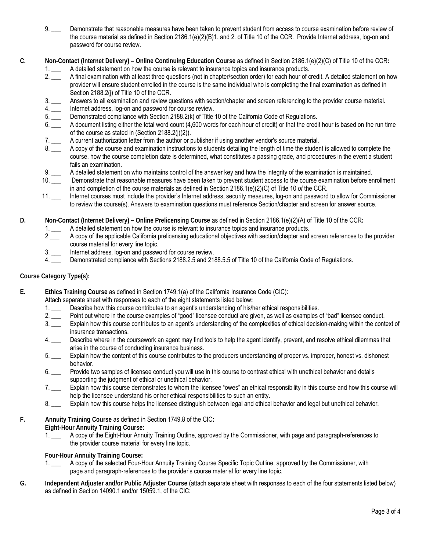- $9.$   $\_\_$  the course material as defined in Section 2186.1(e)(2)(B)1. and 2. of Title 10 of the CCR. Provide Internet address, log-on and Demonstrate that reasonable measures have been taken to prevent student from access to course examination before review of password for course review.
- **C. Non-Contact (Internet Delivery) – Online Continuing Education Course** as defined in Section 2186.1(e)(2)(C) of Title 10 of the CCR**:** 
	- 1. \_\_\_ A detailed statement on how the course is relevant to insurance topics and insurance products.
	- 2. \_\_\_ A final examination with at least three questions (not in chapter/section order) for each hour of credit. A detailed statement on how provider will ensure student enrolled in the course is the same individual who is completing the final examination as defined in Section 2188.2(j) of Title 10 of the CCR.
	- $3.$ Answers to all examination and review questions with section/chapter and screen referencing to the provider course material.
	- $4.$ Internet address, log-on and password for course review.
	- 5. \_\_\_ Demonstrated compliance with Section 2188.2(k) of Title 10 of the California Code of Regulations.
	- $6.$  of the course as stated in (Section 2188.2(j)(2)). A document listing either the total word count (4,600 words for each hour of credit) or that the credit hour is based on the run time
	- 7. \_\_\_ A current authorization letter from the author or publisher if using another vendor's source material.
	- course, how the course completion date is determined, what constitutes a passing grade, and procedures in the event a student A copy of the course and examination instructions to students detailing the length of time the student is allowed to complete the fails an examination.
	- 9. \_\_\_ A detailed statement on who maintains control of the answer key and how the integrity of the examination is maintained.
	- $\frac{9}{10}$  - in and completion of the course materials as defined in Section 2186.1(e)(2)(C) of Title 10 *of* the CCR. Demonstrate that reasonable measures have been taken to prevent student access to the course examination before enrollment
	- 11. \_\_\_ Internet courses must include the provider's Internet address, security measures, log-on and password to allow for Commissioner to review the course(s). Answers to examination questions must reference Section/chapter and screen for answer source.
- **Non-Contact (Internet Delivery) Online Prelicensing Course** as defined in Section 2186.1(e)(2)(A) of Title 10 of the CCR**: D.** 
	- 1. \_\_\_ A detailed statement on how the course is relevant to insurance topics and insurance products.
	- 2 \_\_\_ A copy of the applicable California prelicensing educational objectives with section/chapter and screen references to the provider course material for every line topic.
	- 3. \_\_\_ Internet address, log-on and password for course review.
	- 4. \_\_\_ Demonstrated compliance with Sections 2188.2.5 and 2188.5.5 of Title 10 of the California Code of Regulations.

## **Course Category Type(s):**

- **Ethics Training Course** as defined in Section 1749.1(a) of the California Insurance Code (CIC): **E.** 
	- Attach separate sheet with responses to each of the eight statements listed below**:**
	- Describe how this course contributes to an agent's understanding of his/her ethical responsibilities.
	- Point out where in the course examples of "good" licensee conduct are given, as well as examples of "bad" licensee conduct.
	- Explain how this course contributes to an agent's understanding of the complexities of ethical decision-making within the context of insurance transactions.
	- $4.$ Describe where in the coursework an agent may find tools to help the agent identify, prevent, and resolve ethical dilemmas that arise in the course of conducting insurance business.
	- Explain how the content of this course contributes to the producers understanding of proper vs. improper, honest vs. dishonest behavior.
	- $6.$  supporting the judgment of ethical or unethical behavior. Provide two samples of licensee conduct you will use in this course to contrast ethical with unethical behavior and details
	- $7.$  help the licensee understand his or her ethical responsibilities to such an entity. Explain how this course demonstrates to whom the licensee "owes" an ethical responsibility in this course and how this course will
	- 8. Explain how this course helps the licensee distinguish between legal and ethical behavior and legal but unethical behavior.
- **F. Annuity Training Course** as defined in Section 1749.8 of the CIC**:** 
	- **Eight-Hour Annuity Training Course:** 
		- the provider course material for every line topic. A copy of the Eight-Hour Annuity Training Outline, approved by the Commissioner, with page and paragraph-references to

## **Four-Hour Annuity Training Course:**

- 1. \_\_\_ A copy of the selected Four-Hour Annuity Training Course Specific Topic Outline, approved by the Commissioner, with page and paragraph-references to the provider's course material for every line topic.
- **G. Independent Adjuster and/or Public Adjuster Course** (attach separate sheet with responses to each of the four statements listed below) as defined in Section 14090.1 and/or 15059.1, of the CIC: